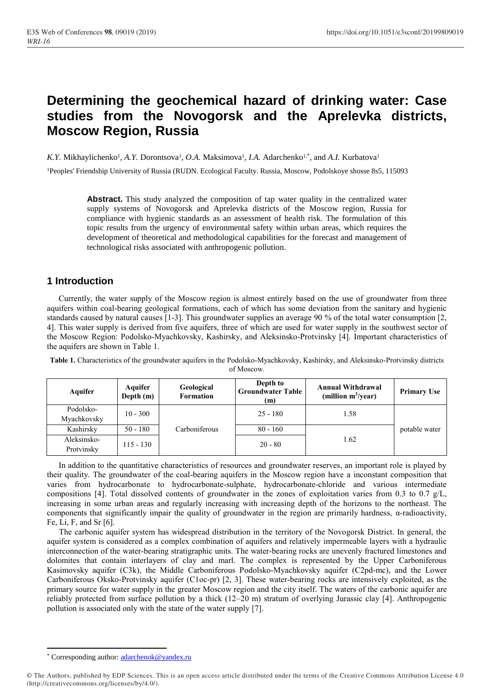# **Determining the geochemical hazard of drinking water: Case studies from the Novogorsk and the Aprelevka districts, Moscow Region, Russia**

*K.Y.* Mikhaylichenko<sup>1</sup>, *A.Y.* Dorontsova<sup>1</sup>, *O.A.* Maksimova<sup>1</sup>, *I.A.* Adarchenko<sup>1,\*</sup>, and *A.I.* Kurbatova<sup>1</sup>

<sup>1</sup>Peoples' Friendship University of Russia (RUDN. Ecological Faculty. Russia, Moscow, Podolskoye shosse 8s5, 115093

**Abstract.** This study analyzed the composition of tap water quality in the centralized water supply systems of Novogorsk and Aprelevka districts of the Moscow region, Russia for compliance with hygienic standards as an assessment of health risk. The formulation of this topic results from the urgency of environmental safety within urban areas, which requires the development of theoretical and methodological capabilities for the forecast and management of technological risks associated with anthropogenic pollution.

#### **1 Introduction**

Currently, the water supply of the Moscow region is almost entirely based on the use of groundwater from three aquifers within coal-bearing geological formations, each of which has some deviation from the sanitary and hygienic standards caused by natural causes [1-3]. This groundwater supplies an average 90 % of the total water consumption [2, 4]. This water supply is derived from five aquifers, three of which are used for water supply in the southwest sector of the Moscow Region: Podolsko-Myachkovsky, Kashirsky, and Aleksinsko-Protvinsky [4]. Important characteristics of the aquifers are shown in Table 1.

**Table 1.** Characteristics of the groundwater aquifers in the Podolsko-Myachkovsky, Kashirsky, and Aleksinsko-Protvinsky districts of Moscow.

| Aquifer                   | Aquifer<br>Depth $(m)$ | Geological<br><b>Formation</b> | Depth to<br><b>Groundwater Table</b><br>(m) | <b>Annual Withdrawal</b><br>(million $m^3$ /year) | <b>Primary Use</b> |
|---------------------------|------------------------|--------------------------------|---------------------------------------------|---------------------------------------------------|--------------------|
| Podolsko-<br>Myachkovsky  | $10 - 300$             |                                | $25 - 180$                                  | 1.58                                              |                    |
| Kashirsky                 | $50 - 180$             | Carboniferous                  | $80 - 160$                                  |                                                   | potable water      |
| Aleksinsko-<br>Protvinsky | $115 - 130$            |                                | $20 - 80$                                   | 1.62                                              |                    |

In addition to the quantitative characteristics of resources and groundwater reserves, an important role is played by their quality. The groundwater of the coal-bearing aquifers in the Moscow region have a inconstant composition that varies from hydrocarbonate to hydrocarbonate-sulphate, hydrocarbonate-chloride and various intermediate compositions [4]. Total dissolved contents of groundwater in the zones of exploitation varies from 0.3 to 0.7  $g/L$ , increasing in some urban areas and regularly increasing with increasing depth of the horizons to the northeast. The components that significantly impair the quality of groundwater in the region are primarily hardness, α-radioactivity, Fe, Li, F, and Sr [6].

The carbonic aquifer system has widespread distribution in the territory of the Novogorsk District. In general, the aquifer system is considered as a complex combination of aquifers and relatively impermeable layers with a hydraulic interconnection of the water-bearing stratigraphic units. The water-bearing rocks are unevenly fractured limestones and dolomites that contain interlayers of clay and marl. The complex is represented by the Upper Carboniferous Kasimovsky aquifer (C3k), the Middle Carboniferous Podolsko-Myachkovsky aquifer (C2pd-mc), and the Lower Carboniferous Oksko-Protvinsky aquifer (С1oc-pr) [2, 3]. These water-bearing rocks are intensively exploited, as the primary source for water supply in the greater Moscow region and the city itself. The waters of the carbonic aquifer are reliably protected from surface pollution by a thick (12–20 m) stratum of overlying Jurassic clay [4]. Anthropogenic pollution is associated only with the state of the water supply [7].

**.** 

<sup>\*</sup> Corresponding author[: adarchenok@yandex.ru](mailto:adarchenok@yandex.ru)

<sup>©</sup> The Authors, published by EDP Sciences. This is an open access article distributed under the terms of the Creative Commons Attribution License 4.0 (http://creativecommons.org/licenses/by/4.0/).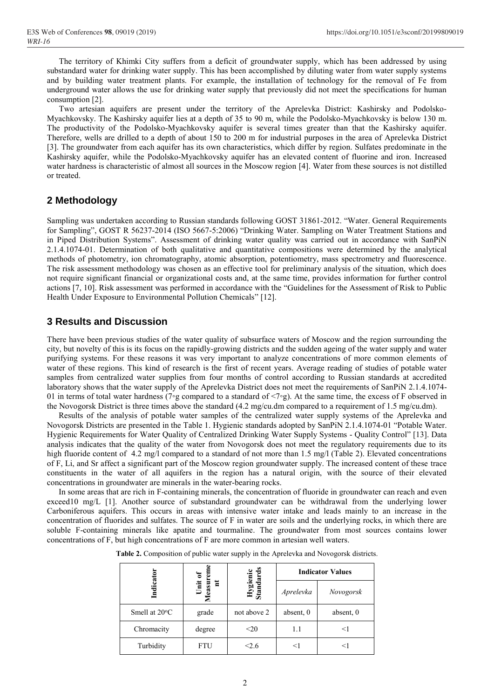The territory of Khimki City suffers from a deficit of groundwater supply, which has been addressed by using substandard water for drinking water supply. This has been accomplished by diluting water from water supply systems and by building water treatment plants. For example, the installation of technology for the removal of Fe from underground water allows the use for drinking water supply that previously did not meet the specifications for human consumption [2].

Two artesian aquifers are present under the territory of the Aprelevka District: Kashirsky and Podolsko-Myachkovsky. The Kashirsky aquifer lies at a depth of 35 to 90 m, while the Podolsko-Myachkovsky is below 130 m. The productivity of the Podolsko-Myachkovsky aquifer is several times greater than that the Kashirsky aquifer. Therefore, wells are drilled to a depth of about 150 to 200 m for industrial purposes in the area of Aprelevka District [3]. The groundwater from each aquifer has its own characteristics, which differ by region. Sulfates predominate in the Kashirsky aquifer, while the Podolsko-Myachkovsky aquifer has an elevated content of fluorine and iron. Increased water hardness is characteristic of almost all sources in the Moscow region [4]. Water from these sources is not distilled or treated.

## **2 Methodology**

Sampling was undertaken according to Russian standards following GOST 31861-2012. "Water. General Requirements for Sampling", GOST R 56237-2014 (ISO 5667-5:2006) "Drinking Water. Sampling on Water Treatment Stations and in Piped Distribution Systems". Assessment of drinking water quality was carried out in accordance with SanPiN 2.1.4.1074-01. Determination of both qualitative and quantitative compositions were determined by the analytical methods of photometry, ion chromatography, atomic absorption, potentiometry, mass spectrometry and fluorescence. The risk assessment methodology was chosen as an effective tool for preliminary analysis of the situation, which does not require significant financial or organizational costs and, at the same time, provides information for further control actions [7, 10]. Risk assessment was performed in accordance with the "Guidelines for the Assessment of Risk to Public Health Under Exposure to Environmental Pollution Chemicals" [12].

## **3 Results and Discussion**

There have been previous studies of the water quality of subsurface waters of Moscow and the region surrounding the city, but novelty of this is its focus on the rapidly-growing districts and the sudden ageing of the water supply and water purifying systems. For these reasons it was very important to analyze concentrations of more common elements of water of these regions. This kind of research is the first of recent years. Average reading of studies of potable water samples from centralized water supplies from four months of control according to Russian standards at accredited laboratory shows that the water supply of the Aprelevka District does not meet the requirements of SanPiN 2.1.4.1074- 01 in terms of total water hardness (7◦g compared to a standard of <7◦g). At the same time, the excess of F observed in the Novogorsk District is three times above the standard (4.2 mg/cu.dm compared to a requirement of 1.5 mg/cu.dm).

Results of the analysis of potable water samples of the centralized water supply systems of the Aprelevka and Novogorsk Districts are presented in the Table 1. Hygienic standards adopted by SanPiN 2.1.4.1074-01 "Potable Water. Hygienic Requirements for Water Quality of Centralized Drinking Water Supply Systems - Quality Control" [13]. Data analysis indicates that the quality of the water from Novogorsk does not meet the regulatory requirements due to its high fluoride content of 4.2 mg/l compared to a standard of not more than 1.5 mg/l (Table 2). Elevated concentrations of F, Li, and Sr affect a significant part of the Moscow region groundwater supply. The increased content of these trace constituents in the water of all aquifers in the region has a natural origin, with the source of their elevated concentrations in groundwater are minerals in the water-bearing rocks.

In some areas that are rich in F-containing minerals, the concentration of fluoride in groundwater can reach and even exceed10 mg/L [1]. Another source of substandard groundwater can be withdrawal from the underlying lower Carboniferous aquifers. This occurs in areas with intensive water intake and leads mainly to an increase in the concentration of fluorides and sulfates. The source of F in water are soils and the underlying rocks, in which there are soluble F-containing minerals like apatite and tourmaline. The groundwater from most sources contains lower concentrations of F, but high concentrations of F are more common in artesian well waters.

|  |  |  |  |  | Table 2. Composition of public water supply in the Aprelevka and Novogorsk districts. |
|--|--|--|--|--|---------------------------------------------------------------------------------------|
|--|--|--|--|--|---------------------------------------------------------------------------------------|

|                         |                        |                       | <b>Indicator Values</b> |           |
|-------------------------|------------------------|-----------------------|-------------------------|-----------|
| Indicator               | Unit of<br>leasur<br>들 | Hygienic<br>Standards | Aprelevka               | Novogorsk |
| Smell at $20^{\circ}$ C | grade                  | not above 2           | absent, 0               | absent, 0 |
| Chromacity              | degree                 | $<$ 20                | 1.1                     | <1        |
| Turbidity               | FTU                    | ≤2.6                  | <1                      | $<$ 1     |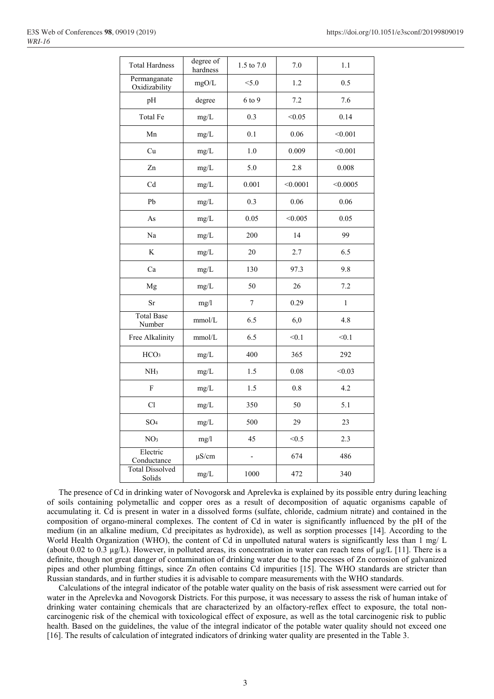| <b>Total Hardness</b>            | degree of<br>hardness | 1.5 to 7.0               | $7.0\,$  | 1.1          |
|----------------------------------|-----------------------|--------------------------|----------|--------------|
| Permanganate<br>Oxidizability    | mgO/L                 | < 5.0                    | 1.2      | 0.5          |
| pH                               | degree                | 6 to 9                   | 7.2      | 7.6          |
| Total Fe                         | mg/L                  | 0.3                      | < 0.05   | 0.14         |
| Mn                               | mg/L                  | 0.1                      | 0.06     | < 0.001      |
| Cu                               | mg/L                  | 1.0                      | 0.009    | < 0.001      |
| Zn                               | mg/L                  | 5.0                      | 2.8      | 0.008        |
| Cd                               | mg/L                  | 0.001                    | < 0.0001 | < 0.0005     |
| Pb                               | mg/L                  | 0.3                      | 0.06     | 0.06         |
| As                               | mg/L                  | 0.05                     | < 0.005  | 0.05         |
| Na                               | mg/L                  | 200                      | 14       | 99           |
| K                                | mg/L                  | 20                       | 2.7      | 6.5          |
| Ca                               | mg/L                  | 130                      | 97.3     | 9.8          |
| Mg                               | mg/L                  | 50                       | 26       | 7.2          |
| Sr                               | mg/1                  | $\tau$                   | 0.29     | $\mathbf{1}$ |
| <b>Total Base</b><br>Number      | mmol/L                | 6.5                      | 6,0      | 4.8          |
| Free Alkalinity                  | mmol/L                | 6.5                      | < 0.1    | < 0.1        |
| HCO <sub>3</sub>                 | mg/L                  | 400                      | 365      | 292          |
| NH <sub>3</sub>                  | mg/L                  | 1.5                      | 0.08     | < 0.03       |
| $\mathbf F$                      | mg/L                  | 1.5                      | $0.8\,$  | 4.2          |
| Cl                               | mg/L                  | 350                      | 50       | 5.1          |
| SO <sub>4</sub>                  | mg/L                  | 500                      | 29       | 23           |
| NO <sub>3</sub>                  | mg/l                  | 45                       | < 0.5    | 2.3          |
| Electric<br>Conductance          | $\mu$ S/cm            | $\overline{\phantom{a}}$ | 674      | 486          |
| <b>Total Dissolved</b><br>Solids | mg/L                  | 1000                     | 472      | 340          |

The presence of Cd in drinking water of Novogorsk and Aprelevka is explained by its possible entry during leaching of soils containing polymetallic and copper ores as a result of decomposition of aquatic organisms capable of accumulating it. Cd is present in water in a dissolved forms (sulfate, chloride, cadmium nitrate) and contained in the composition of organo-mineral complexes. The content of Cd in water is significantly influenced by the pH of the medium (in an alkaline medium, Cd precipitates as hydroxide), as well as sorption processes [14]. According to the World Health Organization (WHO), the content of Cd in unpolluted natural waters is significantly less than 1 mg/ L (about 0.02 to 0.3 µg/L). However, in polluted areas, its concentration in water can reach tens of µg/L [11]. There is a definite, though not great danger of contamination of drinking water due to the processes of Zn corrosion of galvanized pipes and other plumbing fittings, since Zn often contains Cd impurities [15]. The WHO standards are stricter than Russian standards, and in further studies it is advisable to compare measurements with the WHO standards.

Calculations of the integral indicator of the potable water quality on the basis of risk assessment were carried out for water in the Aprelevka and Novogorsk Districts. For this purpose, it was necessary to assess the risk of human intake of drinking water containing chemicals that are characterized by an olfactory-reflex effect to exposure, the total noncarcinogenic risk of the chemical with toxicological effect of exposure, as well as the total carcinogenic risk to public health. Based on the guidelines, the value of the integral indicator of the potable water quality should not exceed one [16]. The results of calculation of integrated indicators of drinking water quality are presented in the Table 3.